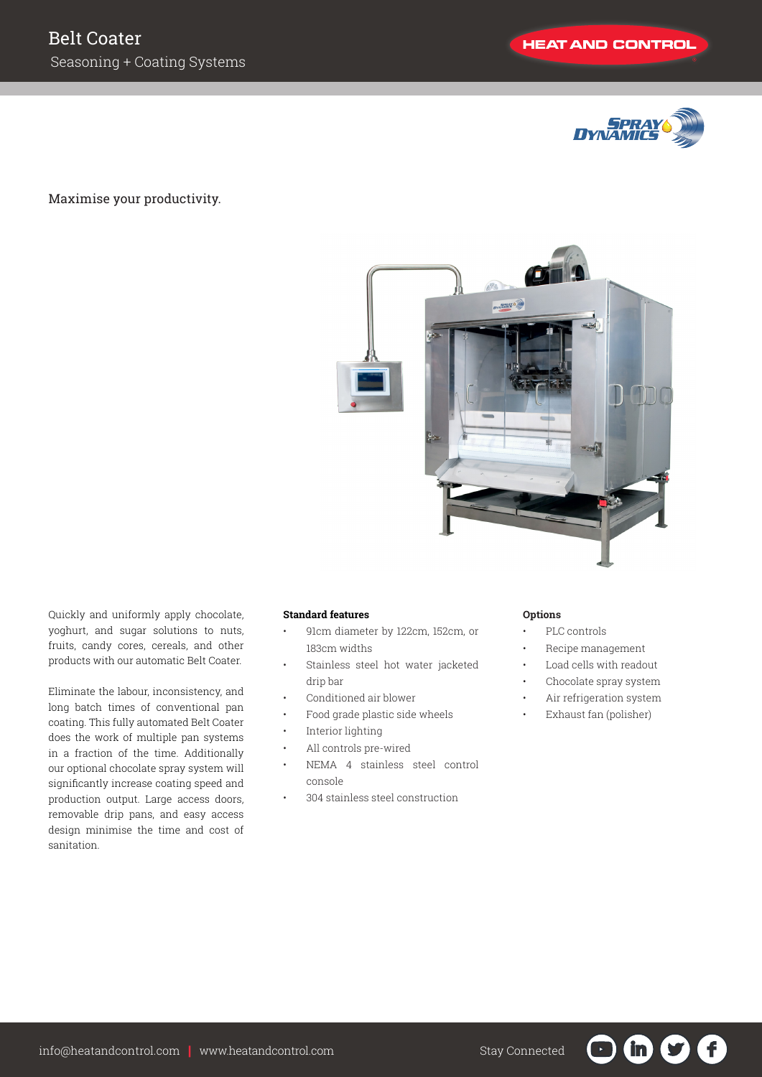

## Maximise your productivity.



Quickly and uniformly apply chocolate, yoghurt, and sugar solutions to nuts, fruits, candy cores, cereals, and other products with our automatic Belt Coater.

Eliminate the labour, inconsistency, and long batch times of conventional pan coating. This fully automated Belt Coater does the work of multiple pan systems in a fraction of the time. Additionally our optional chocolate spray system will significantly increase coating speed and production output. Large access doors, removable drip pans, and easy access design minimise the time and cost of sanitation.

## **Standard features**

- 91cm diameter by 122cm, 152cm, or 183cm widths
- Stainless steel hot water jacketed drip bar
- Conditioned air blower
- Food grade plastic side wheels
- Interior lighting
- All controls pre-wired
- NEMA 4 stainless steel control console
- 304 stainless steel construction

## **Options**

- PLC controls
- Recipe management
- Load cells with readout
- Chocolate spray system
- Air refrigeration system
- Exhaust fan (polisher)

G

 $\mathbf{in}$ 

 $\mathbf{U}$